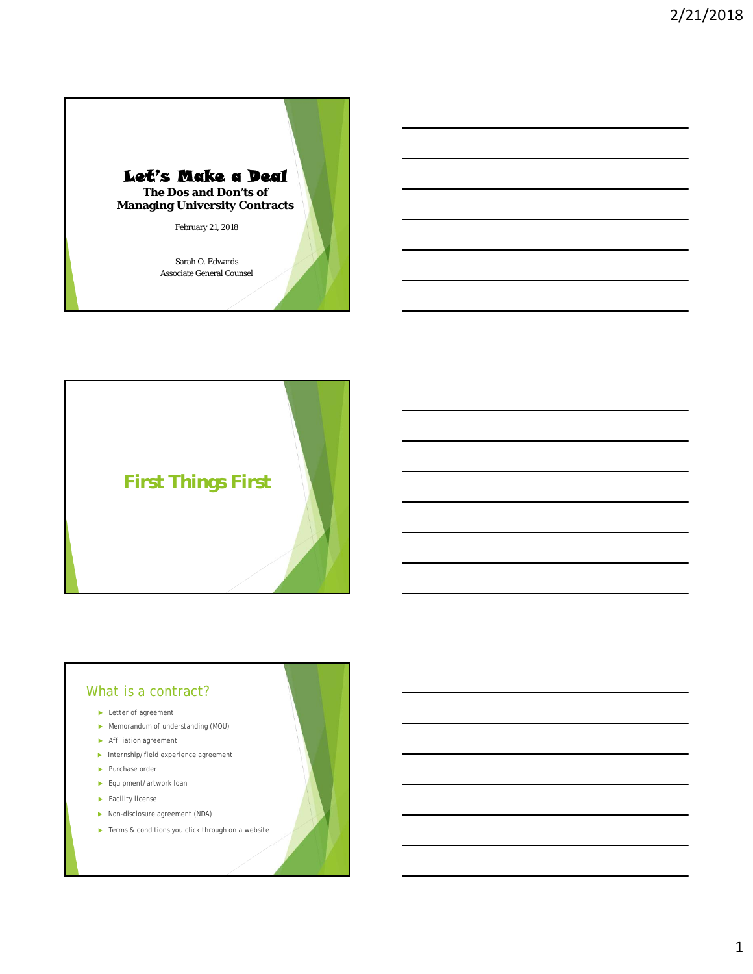



#### What is a contract?

**Letter of agreement** 

- Memorandum of understanding (MOU)
- Affiliation agreement
- $\blacktriangleright$  Internship/field experience agreement
- ▶ Purchase order
- Equipment/artwork loan
- Facility license
- ▶ Non-disclosure agreement (NDA)
- ▶ Terms & conditions you click through on a website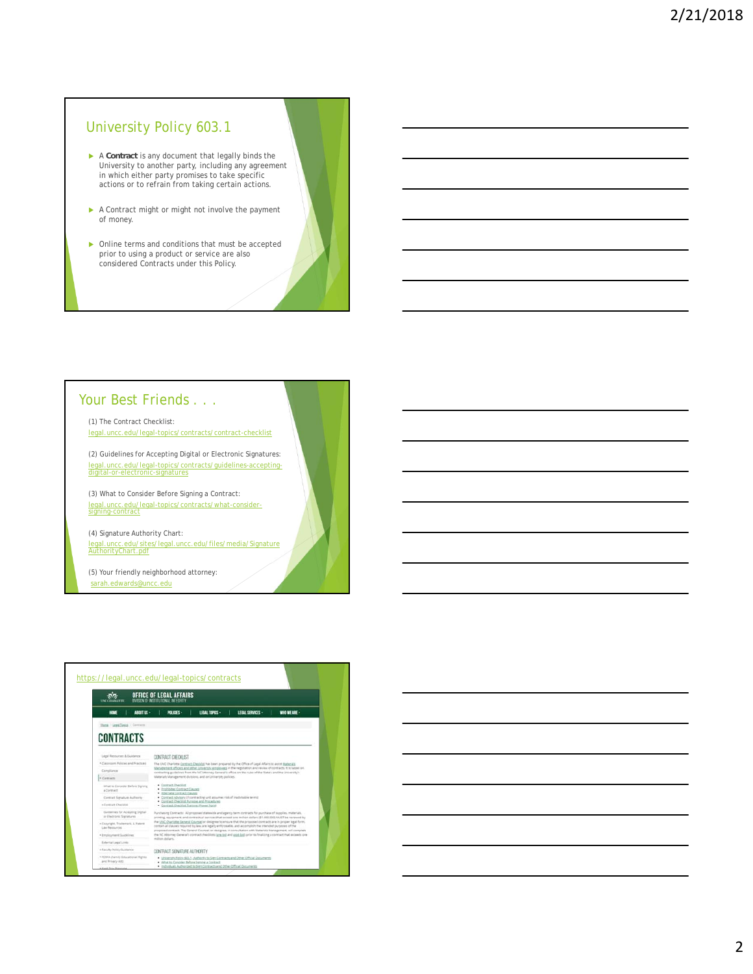# University Policy 603.1

- A **Contract** is any document that legally binds the University to another party, including any agreement in which either party promises to take specific actions or to refrain from taking certain actions.
- A Contract might or might not involve the payment of money.
- Online terms and conditions that must be accepted prior to using a product or service are also considered Contracts under this Policy.

#### Your Best Friends . . .

(1) The Contract Checklist: legal.uncc.edu/legal-topics/contracts/contract-checklist

(2) Guidelines for Accepting Digital or Electronic Signatures: legal.uncc.edu/legal-topics/contracts/guidelines-accepting-digital-or-electronic-signatures

(3) What to Consider Before Signing a Contract: legal.uncc.edu/legal-topics/contracts/what-consider-signing-contract

(4) Signature Authority Chart: legal.uncc.edu/sites/legal.uncc.edu/files/media/Signature AuthorityChart.pdf

(5) Your friendly neighborhood attorney: sarah.edwards@uncc.edu

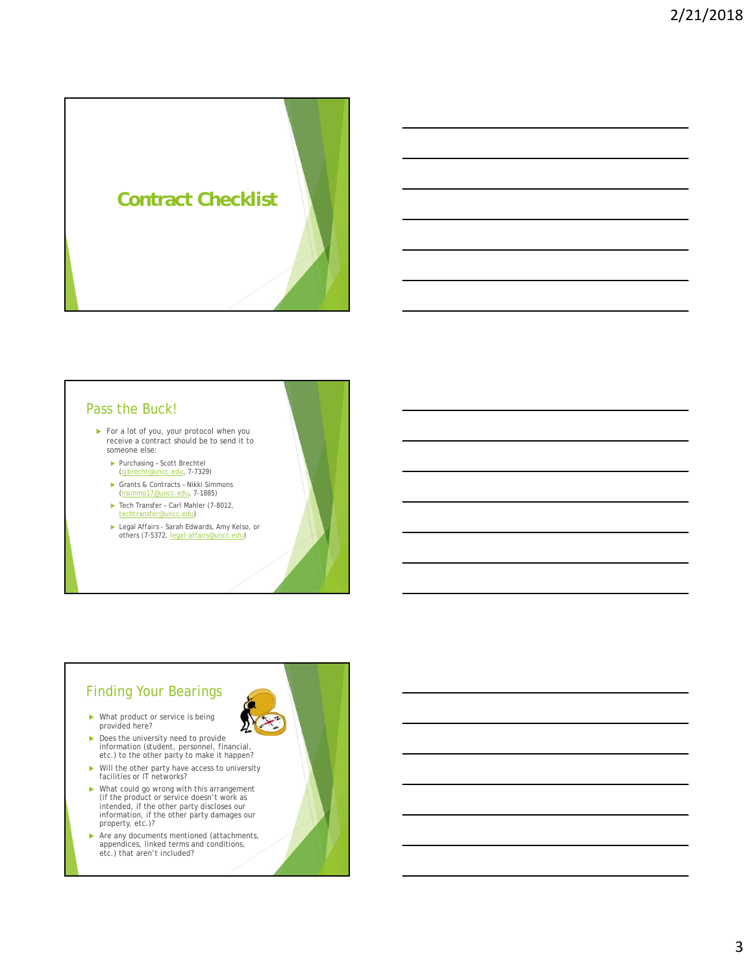

## Pass the Buck!

- For a lot of you, your protocol when you receive a contract should be to send it to someone else:
	- Purchasing Scott Brechtel (sjbrecht@uncc.edu, 7-7329)
	- Grants & Contracts Nikki Simmons (nsimmo17@uncc.edu, 7-1885)
	- ▶ Tech Transfer Carl Mahler (7-8012, techtransfer@uncc.edu)
	- ► Legal Affairs Sarah Edwards, Amy Kelso, or<br>others (7-5372, legal-affairs@uncc.edu)

# Finding Your Bearings

- What product or service is being provided here?
- Does the university need to provide information (student, personnel, financial, etc.) to the other party to make it happen?
- Will the other party have access to university facilities or IT networks?
- What could go wrong with this arrangement (if the product or service doesn't work as intended, if the other party discloses our information, if the other party damages our property, etc.)?
- Are any documents mentioned (attachments, appendices, linked terms and conditions, etc.) that aren't included?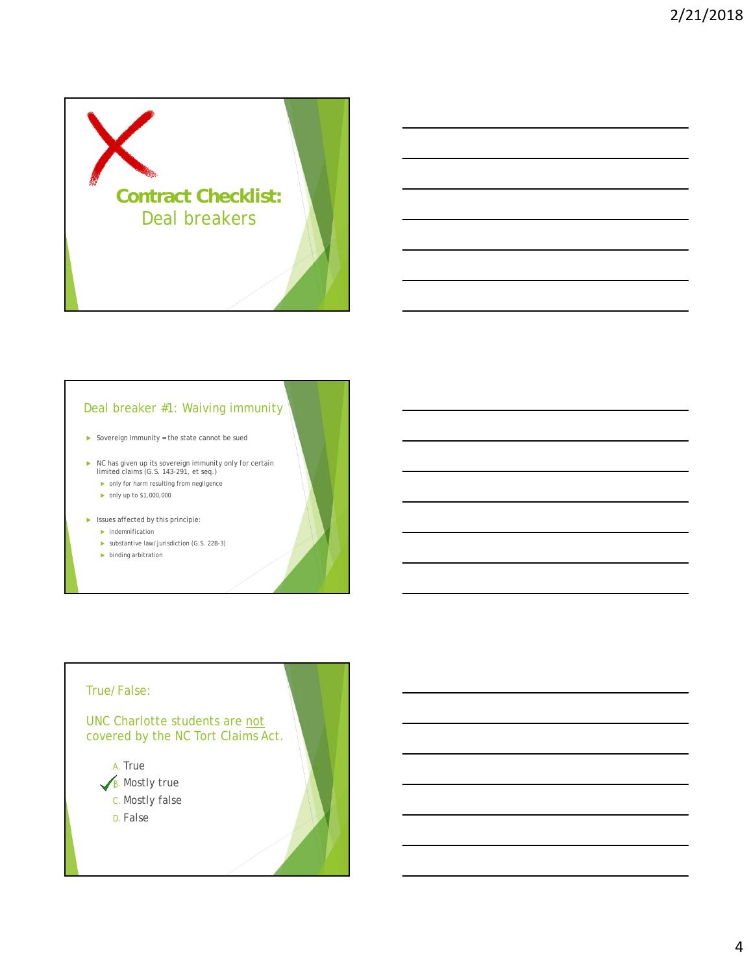

#### Deal breaker #1: Waiving immunity

 $\triangleright$  Sovereign Immunity = the state cannot be sued

- NC has given up its sovereign immunity only for certain limited claims (G.S. 143-291, et seq.)
	- only for harm resulting from negligence  $\triangleright$  only up to \$1,000,000
	-
- $\blacktriangleright$  Issues affected by this principle:
	- $\blacktriangleright$  indemnification
	- substantive law/jurisdiction (G.S. 22B-3)
	- **binding arbitration**

# True/False: UNC Charlotte students are not covered by the NC Tort Claims Act. A. True  $\sqrt{\mathsf{B}}$ . Mostly true C. Mostly false D. False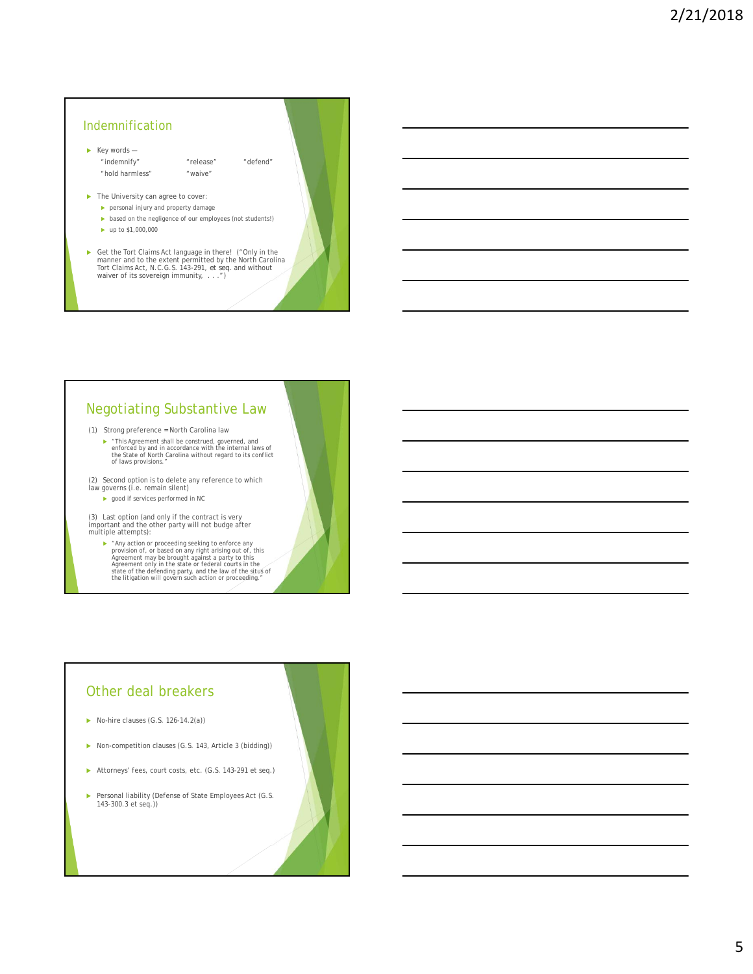# $\blacktriangleright$  Key words — "indemnify" "release" "defend" "hold harmless" "waive"  $\blacktriangleright$  The University can agree to cover: personal injury and property damage  $\blacktriangleright$  based on the negligence of our employees (not students!) Indemnification

- $\blacktriangleright$  up to \$1,000,000
- Get the Tort Claims Act language in there! ("Only in the manner and to the extent permitted by the North Carolina Tort Claims Act, N.C.G.S. 143-291, *et seq.* and without waiver of its sovereign immunity, . . . .")

# Negotiating Substantive Law

(1) Strong preference = North Carolina law

▶ "This Agreement shall be construed, governed, and enforced by and in accordance with the internal laws of the State of North Carolina without regard to its conflict of laws provisions."

(2) Second option is to delete any reference to which law governs (i.e. remain silent)

**b** good if services performed in NC

(3) Last option (and only if the contract is very important and the other party will not budge after multiple attempts):

Far action or proceeding seeking to enforce any<br>provision of, or based on any right arising out of, this<br>agreement may be brought against a party to this<br>Agreement only in the state or federal courts in the<br>state of the d

## Other deal breakers

- $\triangleright$  No-hire clauses (G.S. 126-14.2(a))
- ▶ Non-competition clauses (G.S. 143, Article 3 (bidding))
- Attorneys' fees, court costs, etc. (G.S. 143-291 et seq.)
- Personal liability (Defense of State Employees Act (G.S. 143-300.3 et seq.))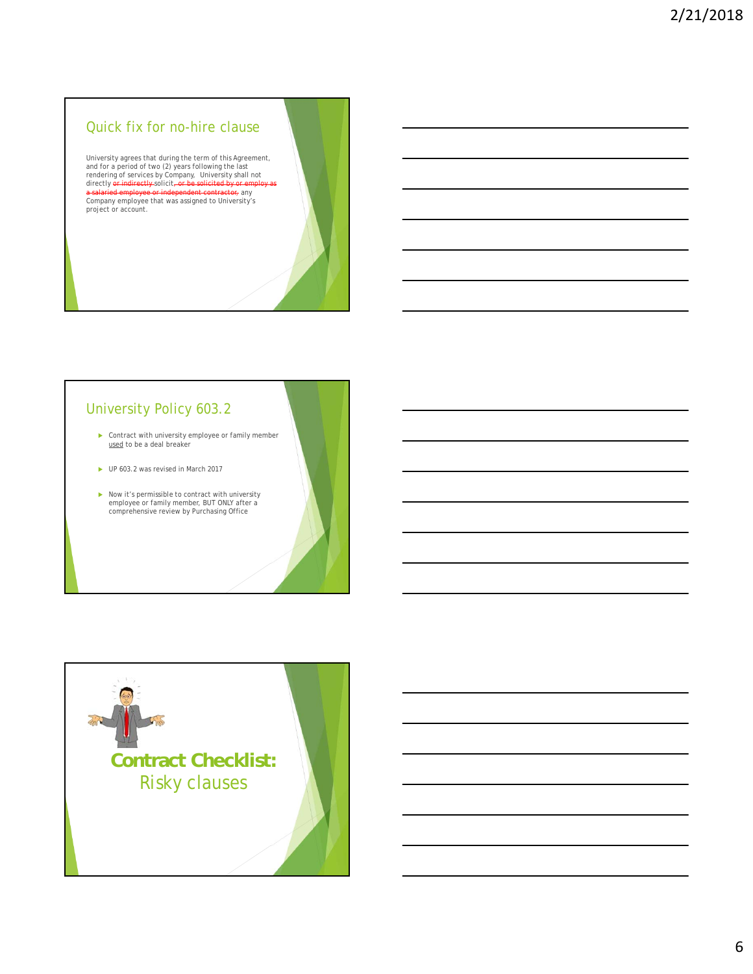#### Quick fix for no-hire clause

University agrees that during the term of this Agreement,<br>and for a period of two (2) years following the last<br>rendering of services by Company, University shall not<br>directly <del>or indirectly</del> solicit<del>, or be solicited by or</del> <mark>a salaried employee or independent contractor</mark>, any<br>Company employee that was assigned to University's<br>project or account.

# University Policy 603.2

**Contract with university employee or family member** used to be a deal breaker

- UP 603.2 was revised in March 2017
- Now it's permissible to contract with university employee or family member, BUT ONLY after a comprehensive review by Purchasing Office

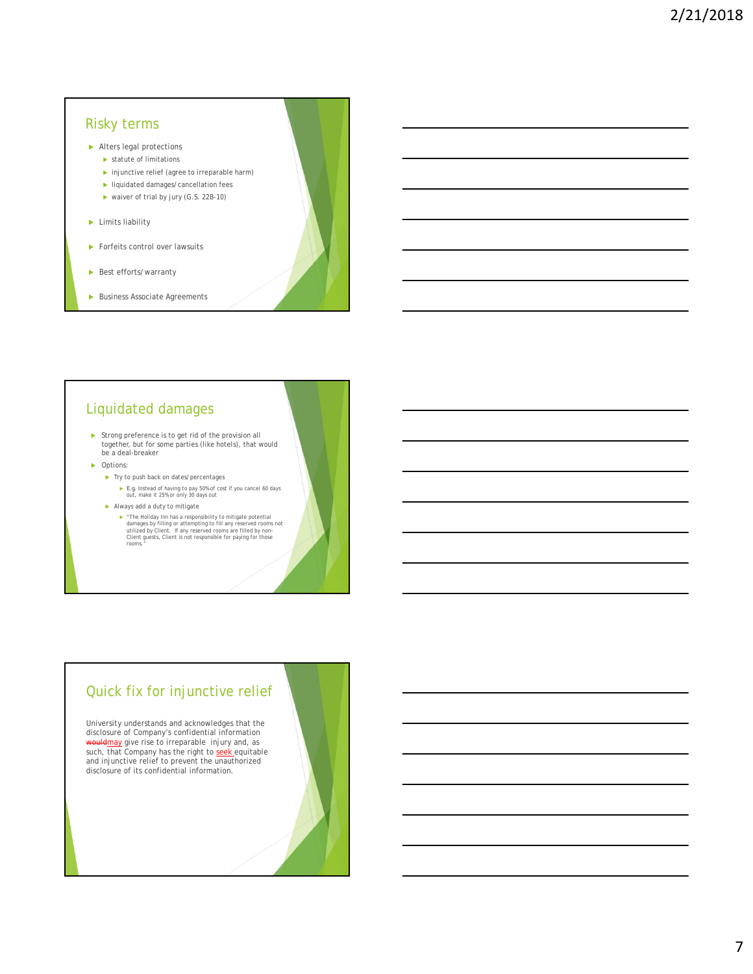#### Risky terms

- Alters legal protections
	- statute of limitations
	- $\blacktriangleright$  injunctive relief (agree to irreparable harm)
	- **I** liquidated damages/cancellation fees
	- ▶ waiver of trial by jury (G.S. 22B-10)
- **Limits liability**
- Forfeits control over lawsuits
- Best efforts/warranty
- **Business Associate Agreements**

# Liquidated damages

- Strong preference is to get rid of the provision all together, but for some parties (like hotels), that would be a deal-breaker
- ▶ Options:
	- $\blacktriangleright$  Try to push back on dates/percentages
		- **►** *E.g.* Instead of having to pay 50% of cost if you cancel 60 days out, make it 25% or only 30 days out
	- Always add a duty to mitigate
		- ► "The Holiday Inn has a responsibility to mitigate potential<br>danages by filling or attempting to fill any reserved rooms not<br>utilized by Client. If any reserved rooms are filled by non-<br>client guests, Client is not respo

# Quick fix for injunctive relief

University understands and acknowledges that the disclosure of Company's confidential information lemay give rise to irreparable injury and, as such, that Company has the right to seek equitable and injunctive relief to prevent the unauthorized disclosure of its confidential information.

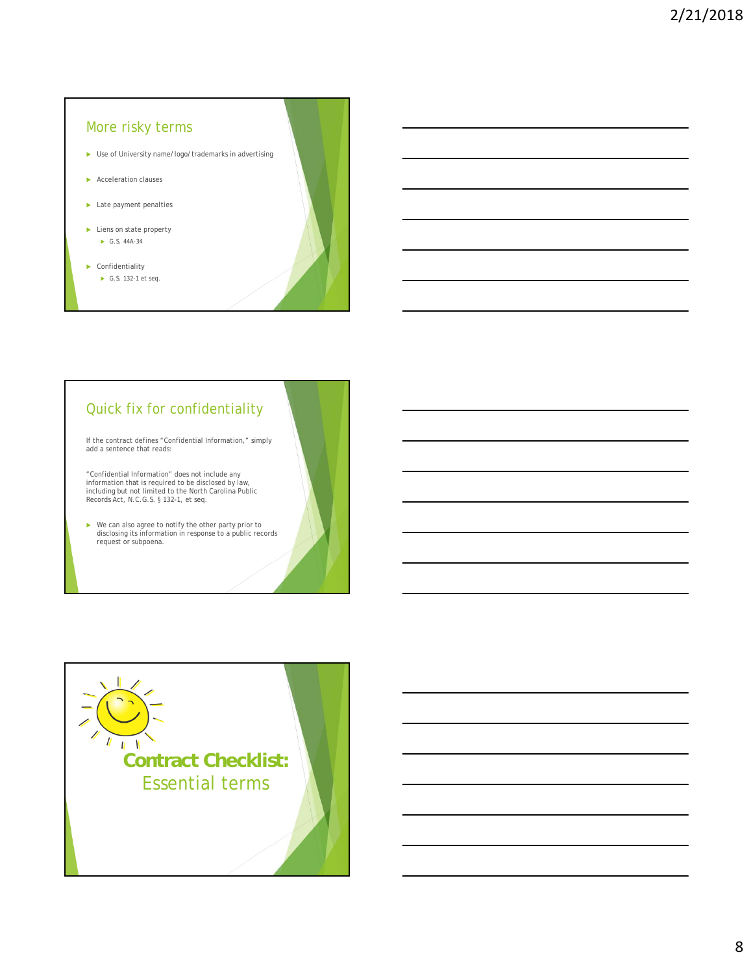# More risky terms

- Use of University name/logo/trademarks in advertising
- Acceleration clauses
- Late payment penalties
- ▶ Liens on state property G.S. 44A-34
- Confidentiality ► G.S. 132-1 et seq.



# Quick fix for confidentiality

If the contract defines "Confidential Information," simply add a sentence that reads:

"Confidential Information" does not include any information that is required to be disclosed by law, including but not limited to the North Carolina Public Records Act, N.C.G.S. § 132-1, et seq.

We can also agree to notify the other party prior to disclosing its information in response to a public records request or subpoena.

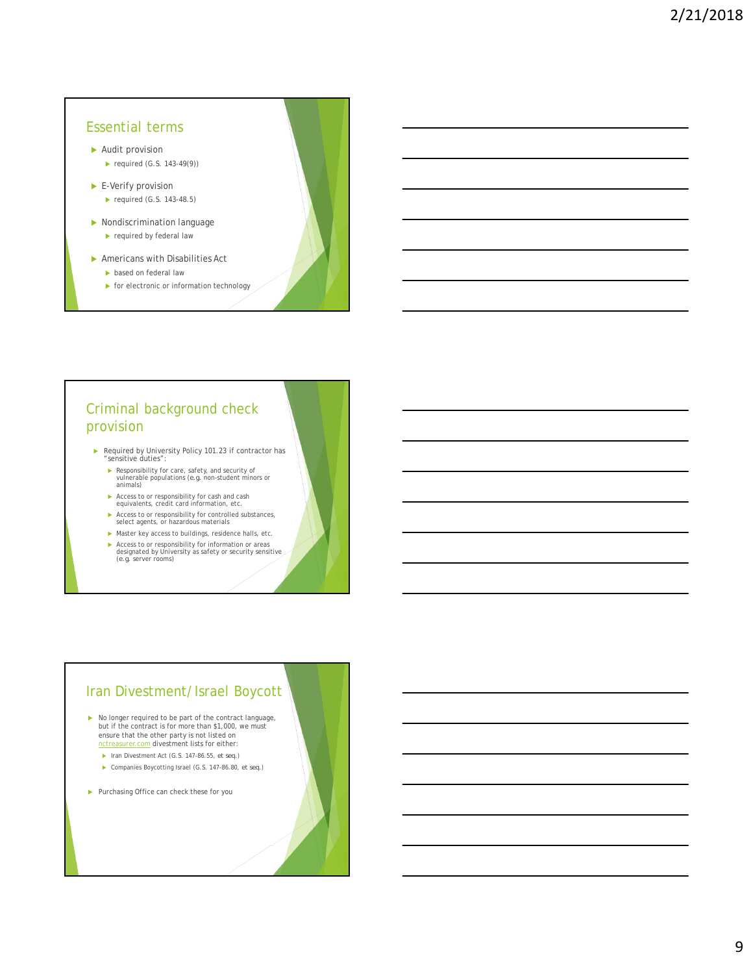# Essential terms Audit provision required (G.S. 143-49 $(9)$ ) E-Verify provision  $\blacktriangleright$  required (G.S. 143-48.5) Nondiscrimination language  $\blacktriangleright$  required by federal law

- Americans with Disabilities Act
	- **based on federal law**
	- $\blacktriangleright$  for electronic or information technology

# Criminal background check provision

- Required by University Policy 101.23 if contractor has "sensitive duties":
	- ▶ Responsibility for care, safety, and security of<br>vulnerable populations (*e.g.* non-student minors or<br>animals)
	- Access to or responsibility for cash and cash equivalents, credit card information, etc.
	- Access to or responsibility for controlled substances, select agents, or hazardous materials
	- $\blacktriangleright$  Master key access to buildings, residence halls, etc.
	- Access to or responsibility for information or areas designated by University as safety or security sensitive (*e.g.* server rooms)

# Iran Divestment/Israel Boycott

- $\blacktriangleright$  No longer required to be part of the contract language, but if the contract is for more than \$1,000, we must ensure that the other party is not listed on<br>notreasurer.com divestment lists for either:
	- Iran Divestment Act (G.S. 147-86.55, *et seq.*)
	- Companies Boycotting Israel (G.S. 147-86.80, *et seq.*)
- Purchasing Office can check these for you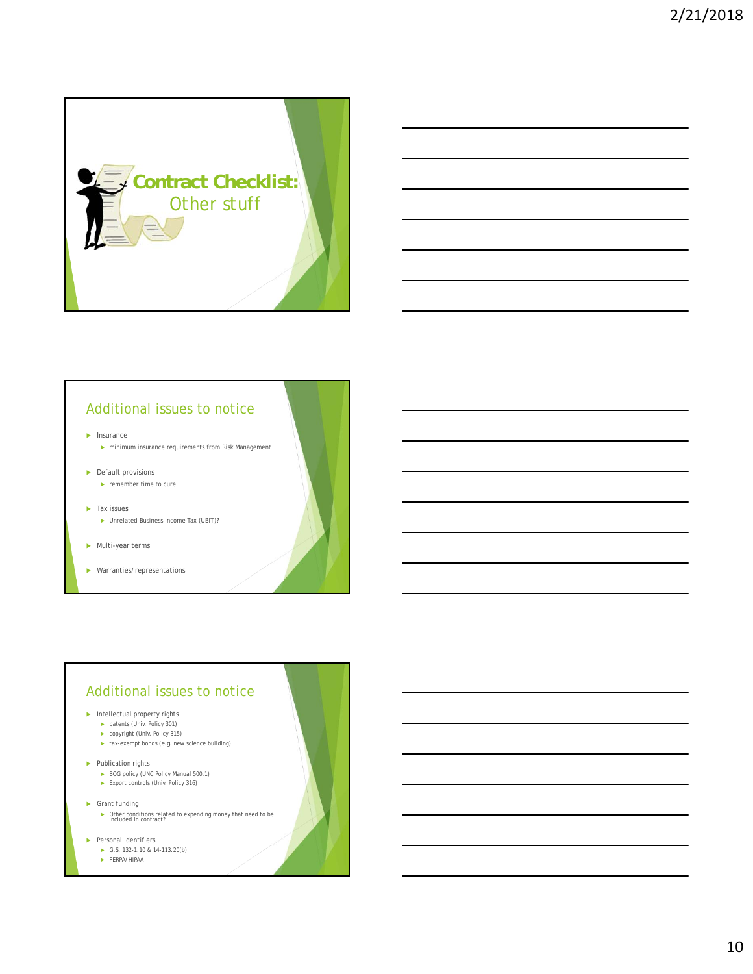

# Additional issues to notice

 $\blacktriangleright$  Insurance

- $\blacktriangleright$ minimum insurance requirements from Risk Management
- **Default provisions** 
	- **P** remember time to cure
- $\blacktriangleright$  Tax issues ▶ Unrelated Business Income Tax (UBIT)?
- Multi-year terms
- Warranties/representations

## Additional issues to notice

#### $\blacktriangleright$  Intellectual property rights

- ▶ patents (Univ. Policy 301)
- copyright (Univ. Policy 315)
- $\blacktriangleright$  tax-exempt bonds (*e.g.* new science building)
- Publication rights
	- ▶ BOG policy (UNC Policy Manual 500.1) ▶ Export controls (Univ. Policy 316)
	-
- ▶ Grant funding
	- Other conditions related to expending money that need to be included in contract?
- Personal identifiers
	- G.S. 132-1.10 & 14-113.20(b)
	- FERPA/HIPAA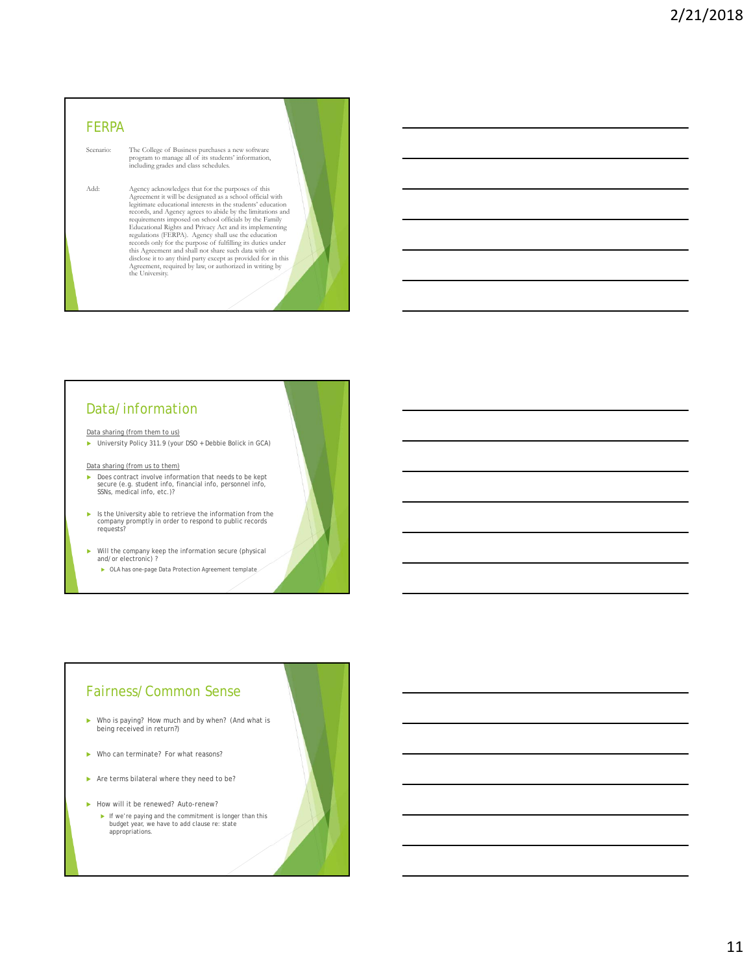# FERPA Scenario: The College of Business purchases a new software program to manage all of its students' information, including grades and class schedules. Add: Agency acknowledges that for the purposes of this<br>Agreement it will be designated as a school official with<br>legitimate educational interests in the students' education<br>records, and Agency agrees to abide by the limita requirements imposed on school officials by the Family<br>Educational Rights and Privacy Act and its implementing<br>ergulations (FERPA). Agency shall use the education<br>records only for the purpose of fulfilling its duties under

#### Data/information

#### Data sharing (from them to us)

University Policy 311.9 (your DSO + Debbie Bolick in GCA)

- Data sharing (from us to them)
- ▶ Does contract involve information that needs to be kept secure (e.g. student info, financial info, personnel info, SSNs, medical info, etc.)?
- Is the University able to retrieve the information from the company promptly in order to respond to public records requests?

Will the company keep the information secure (physical and/or electronic) ?

OLA has one-page Data Protection Agreement template

#### Fairness/Common Sense

- Who is paying? How much and by when? (And what is being received in return?)
- ▶ Who can terminate? For what reasons?
- Are terms bilateral where they need to be?
- How will it be renewed? Auto-renew?
	- If we're paying and the commitment is longer than this budget year, we have to add clause re: state appropriations.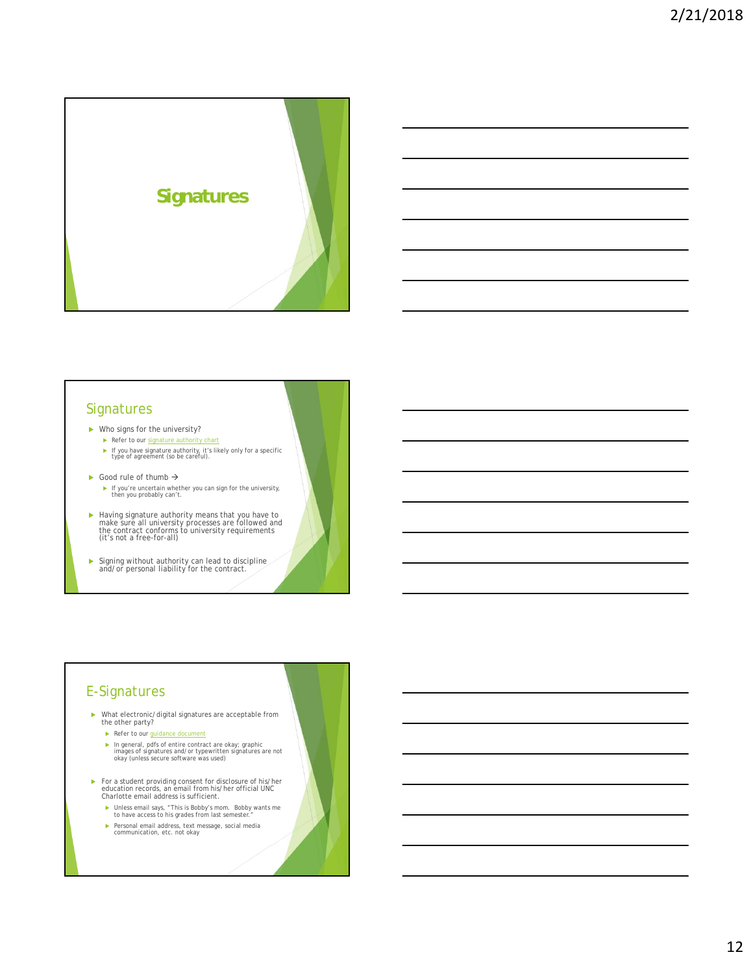

#### **Signatures**

- Who signs for the university?
- Refer to our signature authority chart
	- If you have signature authority, it's likely only for a specific type of agreement (so be careful).
- Good rule of thumb  $\rightarrow$ 
	- If you're uncertain whether you can sign for the university, then you probably can't.
- Having signature authority means that you have to make sure all university processes are followed and the contract conforms to university requirements (it's not a free-for-all)

Signing without authority can lead to discipline and/or personal liability for the contract.

#### E-Signatures

- What electronic/digital signatures are acceptable from the other party?
	- Refer to our guidance document
	- In general, pdfs of entire contract are okay; graphic images of signatures and/or typewritten signatures are not okay (unless secure software was used)
- For a student providing consent for disclosure of his/her education records, an email from his/her official UNC Charlotte email address is sufficient.
	- Unless email says, "This is Bobby's mom. Bobby wants me to have access to his grades from last semester."
	- Personal email address, text message, social media communication, etc. not okay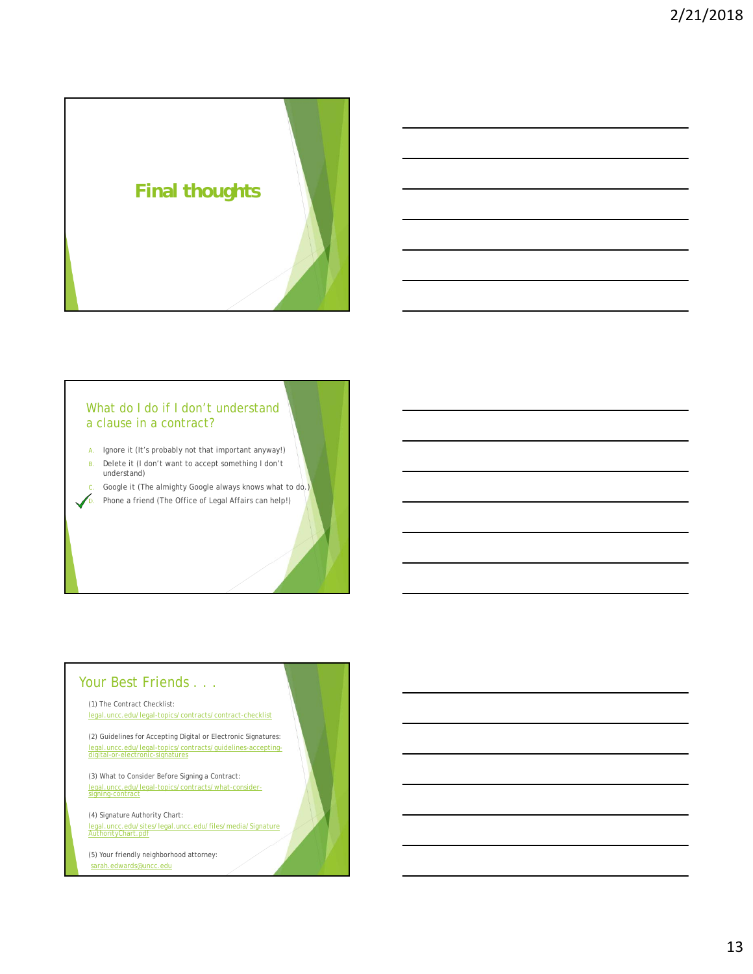

#### What do I do if I don't understand a clause in a contract?

A. Ignore it (It's probably not that important anyway!)

B. Delete it (I don't want to accept something I don't understand)

Google it (The almighty Google always knows what to do.)  $\sqrt{D}$ . Phone a friend (The Office of Legal Affairs can help!)

# Your Best Friends . . .

(1) The Contract Checklist: legal.uncc.edu/legal-topics/contracts/contract-checklist

(2) Guidelines for Accepting Digital or Electronic Signatures: legal.uncc.edu/legal-topics/contracts/guidelines-accepting-digital-or-electronic-signatures

(3) What to Consider Before Signing a Contract: legal.uncc.edu/legal-topics/contracts/what-consider-signing-contract

(4) Signature Authority Chart: legal.uncc.edu/sites/legal.uncc.edu/files/media/Signature AuthorityChart.pdf

(5) Your friendly neighborhood attorney: sarah.edwards@uncc.edu